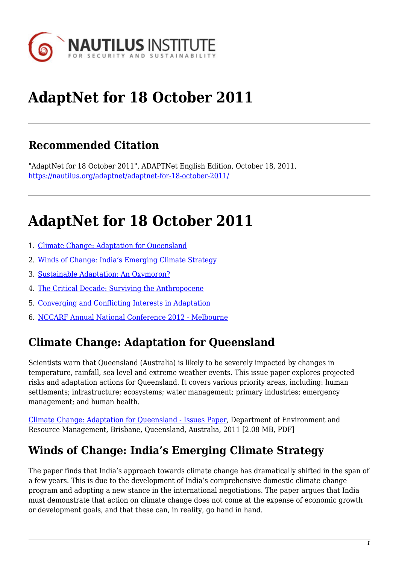

# **AdaptNet for 18 October 2011**

## **Recommended Citation**

"AdaptNet for 18 October 2011", ADAPTNet English Edition, October 18, 2011, <https://nautilus.org/adaptnet/adaptnet-for-18-october-2011/>

## **AdaptNet for 18 October 2011**

- 1. [Climate Change: Adaptation for Queensland](#page-0-0)
- 2. [Winds of Change: India's Emerging Climate Strategy](#page-0-1)
- 3. [Sustainable Adaptation: An Oxymoron?](#page-1-0)
- 4. [The Critical Decade: Surviving the Anthropocene](#page-1-1)
- 5. [Converging and Conflicting Interests in Adaptation](#page-1-2)
- 6. [NCCARF Annual National Conference 2012 Melbourne](#page-1-3)

## <span id="page-0-0"></span>**Climate Change: Adaptation for Queensland**

Scientists warn that Queensland (Australia) is likely to be severely impacted by changes in temperature, rainfall, sea level and extreme weather events. This issue paper explores projected risks and adaptation actions for Queensland. It covers various priority areas, including: human settlements; infrastructure; ecosystems; water management; primary industries; emergency management; and human health.

[Climate Change: Adaptation for Queensland - Issues Paper](http://www.climatechange.qld.gov.au/whatsbeingdone/adaptation/pdf/issues-paper.pdf), Department of Environment and Resource Management, Brisbane, Queensland, Australia, 2011 [2.08 MB, PDF]

#### <span id="page-0-1"></span>**Winds of Change: India's Emerging Climate Strategy**

The paper finds that India's approach towards climate change has dramatically shifted in the span of a few years. This is due to the development of India's comprehensive domestic climate change program and adopting a new stance in the international negotiations. The paper argues that India must demonstrate that action on climate change does not come at the expense of economic growth or development goals, and that these can, in reality, go hand in hand.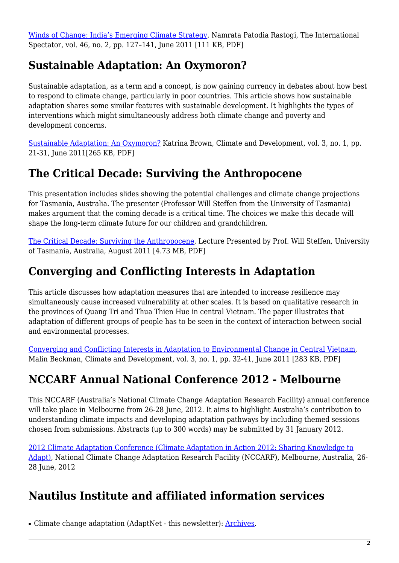[Winds of Change: India's Emerging Climate Strategy](http://www.iai.it/pdf/articles/rastogi.pdf), Namrata Patodia Rastogi, The International Spectator, vol. 46, no. 2, pp. 127–141, June 2011 [111 KB, PDF]

#### <span id="page-1-0"></span>**Sustainable Adaptation: An Oxymoron?**

Sustainable adaptation, as a term and a concept, is now gaining currency in debates about how best to respond to climate change, particularly in poor countries. This article shows how sustainable adaptation shares some similar features with sustainable development. It highlights the types of interventions which might simultaneously address both climate change and poverty and development concerns.

[Sustainable Adaptation: An Oxymoron?](http://www.tandfonline.com/doi/pdf/10.3763/cdev.2010.0062) Katrina Brown, Climate and Development, vol. 3, no. 1, pp. 21-31, June 2011[265 KB, PDF]

#### <span id="page-1-1"></span>**The Critical Decade: Surviving the Anthropocene**

This presentation includes slides showing the potential challenges and climate change projections for Tasmania, Australia. The presenter (Professor Will Steffen from the University of Tasmania) makes argument that the coming decade is a critical time. The choices we make this decade will shape the long-term climate future for our children and grandchildren.

[The Critical Decade: Surviving the Anthropocene,](http://www.climatescience.org.au/downloads/steffen_2011_BLUE_SKIES_LECTURE.pdf) Lecture Presented by Prof. Will Steffen, University of Tasmania, Australia, August 2011 [4.73 MB, PDF]

## <span id="page-1-2"></span>**Converging and Conflicting Interests in Adaptation**

This article discusses how adaptation measures that are intended to increase resilience may simultaneously cause increased vulnerability at other scales. It is based on qualitative research in the provinces of Quang Tri and Thua Thien Hue in central Vietnam. The paper illustrates that adaptation of different groups of people has to be seen in the context of interaction between social and environmental processes.

[Converging and Conflicting Interests in Adaptation to Environmental Change in Central Vietnam](http://www.tandfonline.com/doi/pdf/10.3763/cdev.2010.0065), Malin Beckman, Climate and Development, vol. 3, no. 1, pp. 32-41, June 2011 [283 KB, PDF]

## <span id="page-1-3"></span>**NCCARF Annual National Conference 2012 - Melbourne**

This NCCARF (Australia's National Climate Change Adaptation Research Facility) annual conference will take place in Melbourne from 26-28 June, 2012. It aims to highlight Australia's contribution to understanding climate impacts and developing adaptation pathways by including themed sessions chosen from submissions. Abstracts (up to 300 words) may be submitted by 31 January 2012.

[2012 Climate Adaptation Conference \(Climate Adaptation in Action 2012: Sharing Knowledge to](http://www.nccarf.edu.au/conference2012/) [Adapt\)](http://www.nccarf.edu.au/conference2012/), National Climate Change Adaptation Research Facility (NCCARF), Melbourne, Australia, 26- 28 June, 2012

#### **Nautilus Institute and affiliated information services**

• Climate change adaptation (AdaptNet - this newsletter): [Archives.](https://nautilus.org/mailing-lists/)